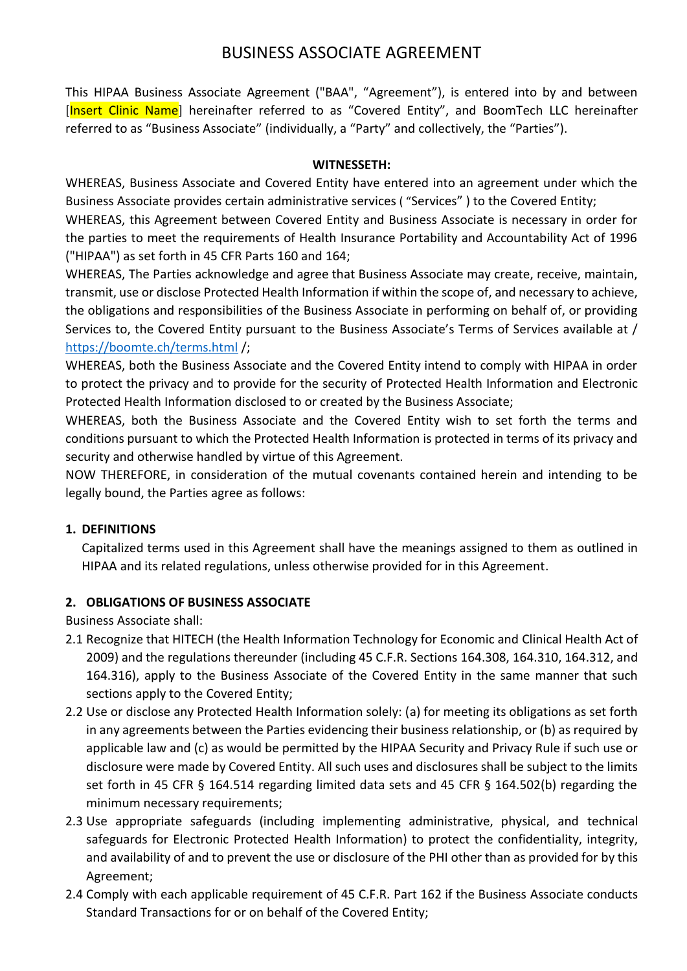# BUSINESS ASSOCIATE AGREEMENT

This HIPAA Business Associate Agreement ("BAA", "Agreement"), is entered into by and between [Insert Clinic Name] hereinafter referred to as "Covered Entity", and BoomTech LLC hereinafter referred to as "Business Associate" (individually, a "Party" and collectively, the "Parties").

### **WITNESSETH:**

WHEREAS, Business Associate and Covered Entity have entered into an agreement under which the Business Associate provides certain administrative services ( "Services" ) to the Covered Entity;

WHEREAS, this Agreement between Covered Entity and Business Associate is necessary in order for the parties to meet the requirements of Health Insurance Portability and Accountability Act of 1996 ("HIPAA") as set forth in 45 CFR Parts 160 and 164;

WHEREAS, The Parties acknowledge and agree that Business Associate may create, receive, maintain, transmit, use or disclose Protected Health Information if within the scope of, and necessary to achieve, the obligations and responsibilities of the Business Associate in performing on behalf of, or providing Services to, the Covered Entity pursuant to the Business Associate's Terms of Services available at / <https://boomte.ch/terms.html> /;

WHEREAS, both the Business Associate and the Covered Entity intend to comply with HIPAA in order to protect the privacy and to provide for the security of Protected Health Information and Electronic Protected Health Information disclosed to or created by the Business Associate;

WHEREAS, both the Business Associate and the Covered Entity wish to set forth the terms and conditions pursuant to which the Protected Health Information is protected in terms of its privacy and security and otherwise handled by virtue of this Agreement.

NOW THEREFORE, in consideration of the mutual covenants contained herein and intending to be legally bound, the Parties agree as follows:

### **1. DEFINITIONS**

Capitalized terms used in this Agreement shall have the meanings assigned to them as outlined in HIPAA and its related regulations, unless otherwise provided for in this Agreement.

### **2. OBLIGATIONS OF BUSINESS ASSOCIATE**

Business Associate shall:

- 2.1 Recognize that HITECH (the Health Information Technology for Economic and Clinical Health Act of 2009) and the regulations thereunder (including 45 C.F.R. Sections 164.308, 164.310, 164.312, and 164.316), apply to the Business Associate of the Covered Entity in the same manner that such sections apply to the Covered Entity;
- 2.2 Use or disclose any Protected Health Information solely: (a) for meeting its obligations as set forth in any agreements between the Parties evidencing their business relationship, or (b) as required by applicable law and (c) as would be permitted by the HIPAA Security and Privacy Rule if such use or disclosure were made by Covered Entity. All such uses and disclosures shall be subject to the limits set forth in 45 CFR § 164.514 regarding limited data sets and 45 CFR § 164.502(b) regarding the minimum necessary requirements;
- 2.3 Use appropriate safeguards (including implementing administrative, physical, and technical safeguards for Electronic Protected Health Information) to protect the confidentiality, integrity, and availability of and to prevent the use or disclosure of the PHI other than as provided for by this Agreement;
- 2.4 Comply with each applicable requirement of 45 C.F.R. Part 162 if the Business Associate conducts Standard Transactions for or on behalf of the Covered Entity;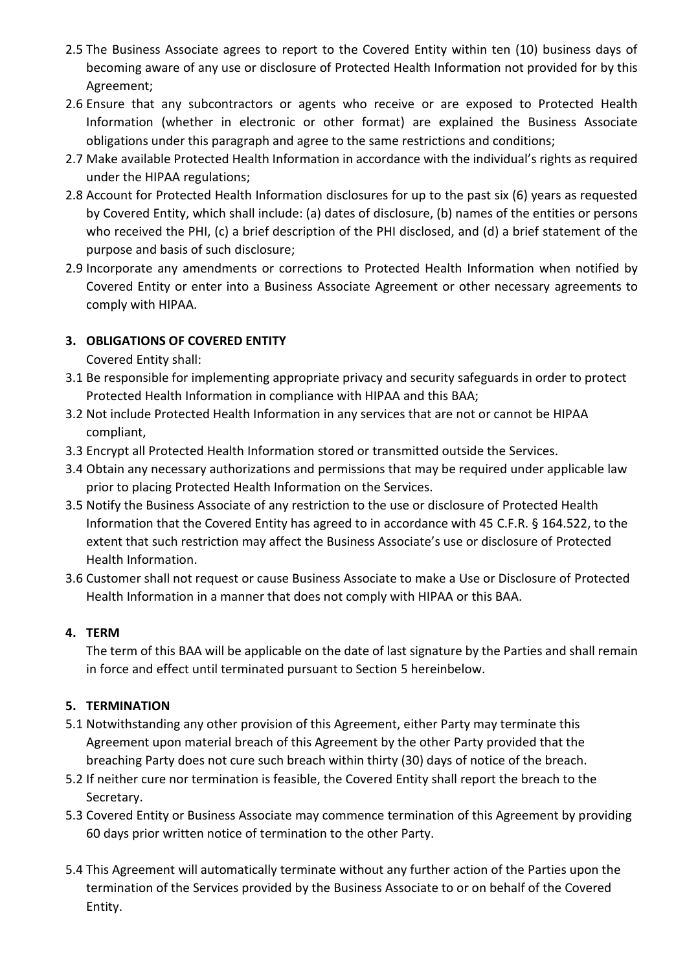- 2.5 The Business Associate agrees to report to the Covered Entity within ten (10) business days of becoming aware of any use or disclosure of Protected Health Information not provided for by this Agreement;
- 2.6 Ensure that any subcontractors or agents who receive or are exposed to Protected Health Information (whether in electronic or other format) are explained the Business Associate obligations under this paragraph and agree to the same restrictions and conditions;
- 2.7 Make available Protected Health Information in accordance with the individual's rights as required under the HIPAA regulations;
- 2.8 Account for Protected Health Information disclosures for up to the past six (6) years as requested by Covered Entity, which shall include: (a) dates of disclosure, (b) names of the entities or persons who received the PHI, (c) a brief description of the PHI disclosed, and (d) a brief statement of the purpose and basis of such disclosure;
- 2.9 Incorporate any amendments or corrections to Protected Health Information when notified by Covered Entity or enter into a Business Associate Agreement or other necessary agreements to comply with HIPAA.

# **3. OBLIGATIONS OF COVERED ENTITY**

Covered Entity shall:

- 3.1 Be responsible for implementing appropriate privacy and security safeguards in order to protect Protected Health Information in compliance with HIPAA and this BAA;
- 3.2 Not include Protected Health Information in any services that are not or cannot be HIPAA compliant,
- 3.3 Encrypt all Protected Health Information stored or transmitted outside the Services.
- 3.4 Obtain any necessary authorizations and permissions that may be required under applicable law prior to placing Protected Health Information on the Services.
- 3.5 Notify the Business Associate of any restriction to the use or disclosure of Protected Health Information that the Covered Entity has agreed to in accordance with 45 C.F.R. § 164.522, to the extent that such restriction may affect the Business Associate's use or disclosure of Protected Health Information.
- 3.6 Customer shall not request or cause Business Associate to make a Use or Disclosure of Protected Health Information in a manner that does not comply with HIPAA or this BAA.

# **4. TERM**

The term of this BAA will be applicable on the date of last signature by the Parties and shall remain in force and effect until terminated pursuant to Section 5 hereinbelow.

# **5. TERMINATION**

- 5.1 Notwithstanding any other provision of this Agreement, either Party may terminate this Agreement upon material breach of this Agreement by the other Party provided that the breaching Party does not cure such breach within thirty (30) days of notice of the breach.
- 5.2 If neither cure nor termination is feasible, the Covered Entity shall report the breach to the Secretary.
- 5.3 Covered Entity or Business Associate may commence termination of this Agreement by providing 60 days prior written notice of termination to the other Party.
- 5.4 This Agreement will automatically terminate without any further action of the Parties upon the termination of the Services provided by the Business Associate to or on behalf of the Covered Entity.